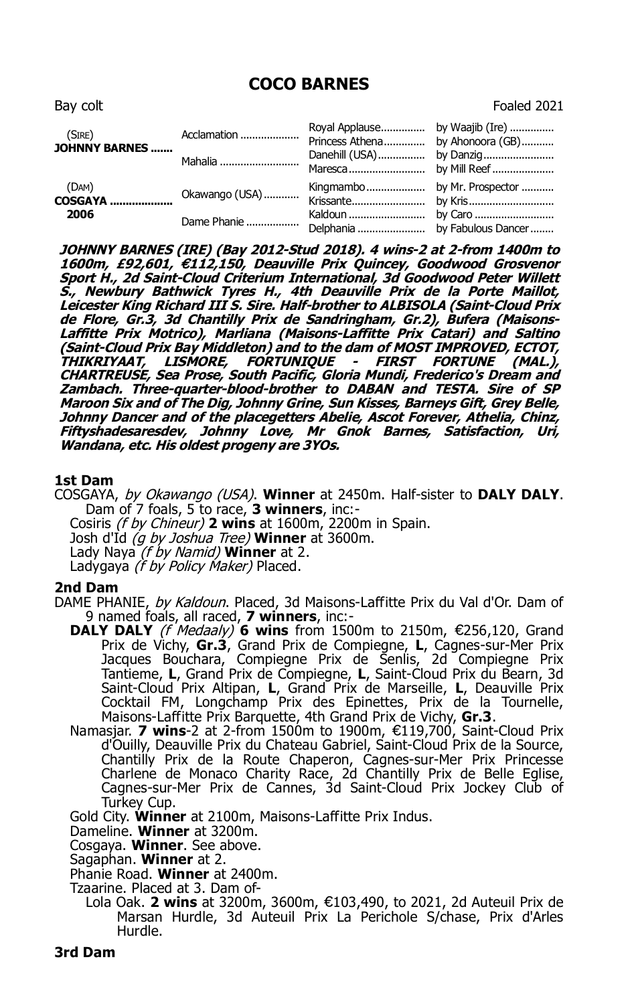# **COCO BARNES**

| Bay colt                 |                |                                  | Foaled 2021 |
|--------------------------|----------------|----------------------------------|-------------|
| (SIRE)<br>JOHNNY BARNES  | Acclamation    | Princess Athena by Ahonoora (GB) |             |
|                          | Mahalia        |                                  |             |
| (DAM)<br>COSGAYA<br>2006 | Okawango (USA) |                                  |             |
|                          | Dame Phanie    |                                  |             |

**JOHNNY BARNES (IRE) (Bay 2012-Stud 2018). 4 wins-2 at 2-from 1400m to 1600m, £92,601, 112,150, Deauville Prix Quincey, Goodwood Grosvenor** € **Sport H., 2d Saint-Cloud Criterium International, 3d Goodwood Peter Willett S., Newbury Bathwick Tyres H., 4th Deauville Prix de la Porte Maillot, Leicester King Richard III S. Sire. Half-brother to ALBISOLA (Saint-Cloud Prix de Flore, Gr.3, 3d Chantilly Prix de Sandringham, Gr.2), Bufera (Maisons-Laffitte Prix Motrico), Marliana (Maisons-Laffitte Prix Catari) and Saltino (Saint-Cloud Prix Bay Middleton) and to the dam of MOST IMPROVED, ECTOT, THIKRIYAAT, LISMORE, FORTUNIQUE - FIRST FORTUNE (MAL.), CHARTREUSE, Sea Prose, South Pacific, Gloria Mundi, Frederico's Dream and Zambach. Three-quarter-blood-brother to DABAN and TESTA. Sire of SP Maroon Six and of The Dig, Johnny Grine, Sun Kisses, Barneys Gift, Grey Belle, Johnny Dancer and of the placegetters Abelie, Ascot Forever, Athelia, Chinz, Fiftyshadesaresdev, Johnny Love, Mr Gnok Barnes, Satisfaction, Uri, Wandana, etc. His oldest progeny are 3YOs.**

## **1st Dam**

COSGAYA, by Okawango (USA). **Winner** at 2450m. Half-sister to **DALY DALY**. Dam of 7 foals, 5 to race, **3 winners**, inc:-

Cosiris (f by Chineur) **2 wins** at 1600m, 2200m in Spain.

Josh d'Id (g by Joshua Tree) **Winner** at 3600m.

Lady Naya (f by Namid) **Winner** at 2.

Ladygaya *(f by Policy Maker)* Placed.

#### **2nd Dam**

DAME PHANIE, by Kaldoun. Placed, 3d Maisons-Laffitte Prix du Val d'Or. Dam of 9 named foals, all raced, **7 winners**, inc:-

- **DALY DALY** (*f Medaaly*) **6 wins** from 1500m to 2150m, €256,120, Grand Prix de Vichy, **Gr.3**, Grand Prix de Compiegne, **L**, Cagnes-sur-Mer Prix Jacques Bouchara, Compiegne Prix de Senlis, 2d Compiegne Prix Tantieme, **L**, Grand Prix de Compiegne, **L**, Saint-Cloud Prix du Bearn, 3d Saint-Cloud Prix Altipan, **L**, Grand Prix de Marseille, **L**, Deauville Prix Cocktail FM, Longchamp Prix des Epinettes, Prix de la Tournelle, Maisons-Laffitte Prix Barquette, 4th Grand Prix de Vichy, **Gr.3**.
- Namasjar. **7 wins**-2 at 2-from 1500m to 1900m, €119,700, Saint-Cloud Prix d'Ouilly, Deauville Prix du Chateau Gabriel, Saint-Cloud Prix de la Source, Chantilly Prix de la Route Chaperon, Cagnes-sur-Mer Prix Princesse Charlene de Monaco Charity Race, 2d Chantilly Prix de Belle Eglise, Cagnes-sur-Mer Prix de Cannes, 3d Saint-Cloud Prix Jockey Club of Turkey Cup.

Gold City. **Winner** at 2100m, Maisons-Laffitte Prix Indus.

Dameline. **Winner** at 3200m.

Cosgaya. **Winner**. See above.

Sagaphan. **Winner** at 2.

Phanie Road. **Winner** at 2400m.

Tzaarine. Placed at 3. Dam of-

Lola Oak. 2 wins at 3200m, 3600m, €103,490, to 2021, 2d Auteuil Prix de Marsan Hurdle, 3d Auteuil Prix La Perichole S/chase, Prix d'Arles Hurdle.